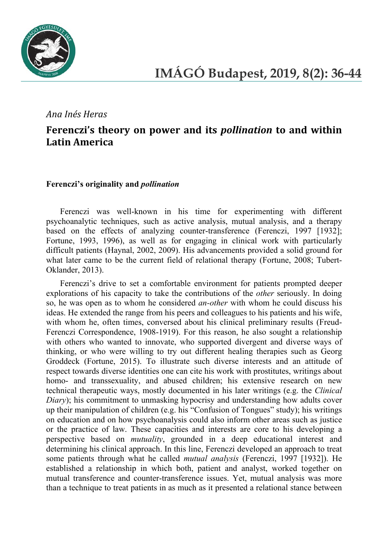

## *Ana Inés Heras*

# **Ferenczi's theory on power and its** *pollination* **to and within Latin America**

#### **Ferenczi's originality and** *pollination*

Ferenczi was well-known in his time for experimenting with different psychoanalytic techniques, such as active analysis, mutual analysis, and a therapy based on the effects of analyzing counter-transference (Ferenczi, 1997 [1932]; Fortune, 1993, 1996), as well as for engaging in clinical work with particularly difficult patients (Haynal, 2002, 2009). His advancements provided a solid ground for what later came to be the current field of relational therapy (Fortune, 2008; Tubert-Oklander, 2013).

Ferenczi's drive to set a comfortable environment for patients prompted deeper explorations of his capacity to take the contributions of the *other* seriously. In doing so, he was open as to whom he considered *an-other* with whom he could discuss his ideas. He extended the range from his peers and colleagues to his patients and his wife, with whom he, often times, conversed about his clinical preliminary results (Freud-Ferenczi Correspondence, 1908-1919). For this reason, he also sought a relationship with others who wanted to innovate, who supported divergent and diverse ways of thinking, or who were willing to try out different healing therapies such as Georg Groddeck (Fortune, 2015). To illustrate such diverse interests and an attitude of respect towards diverse identities one can cite his work with prostitutes, writings about homo- and transsexuality, and abused children; his extensive research on new technical therapeutic ways, mostly documented in his later writings (e.g. the *Clinical Diary*); his commitment to unmasking hypocrisy and understanding how adults cover up their manipulation of children (e.g. his "Confusion of Tongues" study); his writings on education and on how psychoanalysis could also inform other areas such as justice or the practice of law. These capacities and interests are core to his developing a perspective based on *mutuality*, grounded in a deep educational interest and determining his clinical approach. In this line, Ferenczi developed an approach to treat some patients through what he called *mutual analysis* (Ferenczi, 1997 [1932]). He established a relationship in which both, patient and analyst, worked together on mutual transference and counter-transference issues. Yet, mutual analysis was more than a technique to treat patients in as much as it presented a relational stance between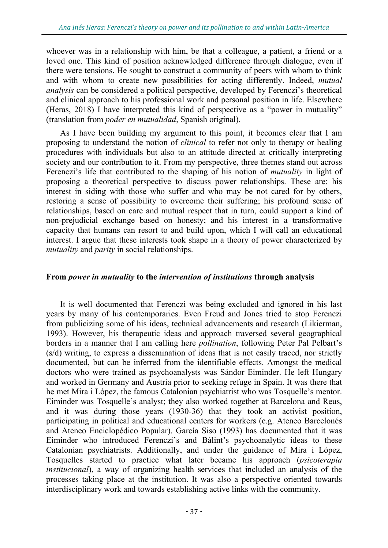whoever was in a relationship with him, be that a colleague, a patient, a friend or a loved one. This kind of position acknowledged difference through dialogue, even if there were tensions. He sought to construct a community of peers with whom to think and with whom to create new possibilities for acting differently. Indeed, *mutual analysis* can be considered a political perspective, developed by Ferenczi's theoretical and clinical approach to his professional work and personal position in life. Elsewhere (Heras, 2018) I have interpreted this kind of perspective as a "power in mutuality" (translation from *poder en mutualidad*, Spanish original).

As I have been building my argument to this point, it becomes clear that I am proposing to understand the notion of *clinical* to refer not only to therapy or healing procedures with individuals but also to an attitude directed at critically interpreting society and our contribution to it. From my perspective, three themes stand out across Ferenczi's life that contributed to the shaping of his notion of *mutuality* in light of proposing a theoretical perspective to discuss power relationships. These are: his interest in siding with those who suffer and who may be not cared for by others, restoring a sense of possibility to overcome their suffering; his profound sense of relationships, based on care and mutual respect that in turn, could support a kind of non-prejudicial exchange based on honesty; and his interest in a transformative capacity that humans can resort to and build upon, which I will call an educational interest. I argue that these interests took shape in a theory of power characterized by *mutuality* and *parity* in social relationships.

#### **From** *power in mutuality* **to the** *intervention of institutions* **through analysis**

It is well documented that Ferenczi was being excluded and ignored in his last years by many of his contemporaries. Even Freud and Jones tried to stop Ferenczi from publicizing some of his ideas, technical advancements and research (Likierman, 1993). However, his therapeutic ideas and approach traversed several geographical borders in a manner that I am calling here *pollination*, following Peter Pal Pelbart's (s/d) writing, to express a dissemination of ideas that is not easily traced, nor strictly documented, but can be inferred from the identifiable effects. Amongst the medical doctors who were trained as psychoanalysts was Sándor Eiminder. He left Hungary and worked in Germany and Austria prior to seeking refuge in Spain. It was there that he met Mira i López, the famous Catalonian psychiatrist who was Tosquelle's mentor. Eiminder was Tosquelle's analyst; they also worked together at Barcelona and Reus, and it was during those years (1930-36) that they took an activist position, participating in political and educational centers for workers (e.g. Ateneo Barcelonés and Ateneo Enciclopédico Popular). García Siso (1993) has documented that it was Eiminder who introduced Ferenczi's and Bálint's psychoanalytic ideas to these Catalonian psychiatrists. Additionally, and under the guidance of Mira i López, Tosquelles started to practice what later became his approach (*psicoterapia institucional*), a way of organizing health services that included an analysis of the processes taking place at the institution. It was also a perspective oriented towards interdisciplinary work and towards establishing active links with the community.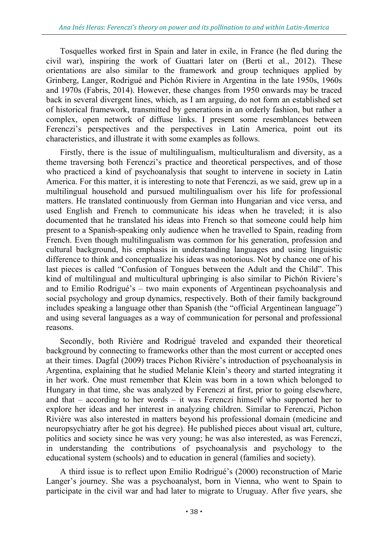Tosquelles worked first in Spain and later in exile, in France (he fled during the civil war), inspiring the work of Guattari later on (Berti et al., 2012). These orientations are also similar to the framework and group techniques applied by Grinberg, Langer, Rodrigué and Pichón Riviere in Argentina in the late 1950s, 1960s and 1970s (Fabris, 2014). However, these changes from 1950 onwards may be traced back in several divergent lines, which, as I am arguing, do not form an established set of historical framework, transmitted by generations in an orderly fashion, but rather a complex, open network of diffuse links. I present some resemblances between Ferenczi's perspectives and the perspectives in Latin America, point out its characteristics, and illustrate it with some examples as follows.

Firstly, there is the issue of multilingualism, multiculturalism and diversity, as a theme traversing both Ferenczi's practice and theoretical perspectives, and of those who practiced a kind of psychoanalysis that sought to intervene in society in Latin America. For this matter, it is interesting to note that Ferenczi, as we said, grew up in a multilingual household and pursued multilingualism over his life for professional matters. He translated continuously from German into Hungarian and vice versa, and used English and French to communicate his ideas when he traveled; it is also documented that he translated his ideas into French so that someone could help him present to a Spanish-speaking only audience when he travelled to Spain, reading from French. Even though multilingualism was common for his generation, profession and cultural background, his emphasis in understanding languages and using linguistic difference to think and conceptualize his ideas was notorious. Not by chance one of his last pieces is called "Confusion of Tongues between the Adult and the Child". This kind of multilingual and multicultural upbringing is also similar to Pichón Riviere's and to Emilio Rodrigué's – two main exponents of Argentinean psychoanalysis and social psychology and group dynamics, respectively. Both of their family background includes speaking a language other than Spanish (the "official Argentinean language") and using several languages as a way of communication for personal and professional reasons.

Secondly, both Rivière and Rodrigué traveled and expanded their theoretical background by connecting to frameworks other than the most current or accepted ones at their times. Dagfal (2009) traces Pichon Rivière's introduction of psychoanalysis in Argentina, explaining that he studied Melanie Klein's theory and started integrating it in her work. One must remember that Klein was born in a town which belonged to Hungary in that time, she was analyzed by Ferenczi at first, prior to going elsewhere, and that – according to her words – it was Ferenczi himself who supported her to explore her ideas and her interest in analyzing children. Similar to Ferenczi, Pichon Rivière was also interested in matters beyond his professional domain (medicine and neuropsychiatry after he got his degree). He published pieces about visual art, culture, politics and society since he was very young; he was also interested, as was Ferenczi, in understanding the contributions of psychoanalysis and psychology to the educational system (schools) and to education in general (families and society).

A third issue is to reflect upon Emilio Rodrigué's (2000) reconstruction of Marie Langer's journey. She was a psychoanalyst, born in Vienna, who went to Spain to participate in the civil war and had later to migrate to Uruguay. After five years, she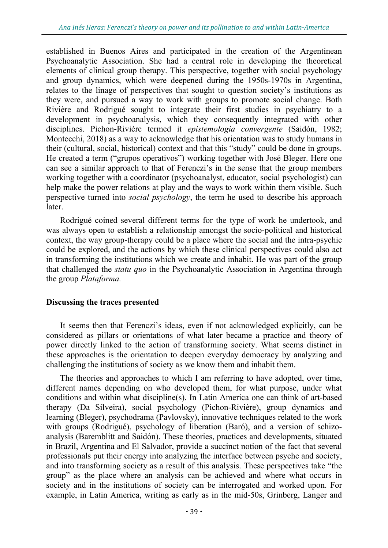established in Buenos Aires and participated in the creation of the Argentinean Psychoanalytic Association. She had a central role in developing the theoretical elements of clinical group therapy. This perspective, together with social psychology and group dynamics, which were deepened during the 1950s-1970s in Argentina, relates to the linage of perspectives that sought to question society's institutions as they were, and pursued a way to work with groups to promote social change. Both Rivière and Rodrigué sought to integrate their first studies in psychiatry to a development in psychoanalysis, which they consequently integrated with other disciplines. Pichon-Rivière termed it *epistemología convergente* (Saidón, 1982; Montecchi, 2018) as a way to acknowledge that his orientation was to study humans in their (cultural, social, historical) context and that this "study" could be done in groups. He created a term ("grupos operativos") working together with José Bleger. Here one can see a similar approach to that of Ferenczi's in the sense that the group members working together with a coordinator (psychoanalyst, educator, social psychologist) can help make the power relations at play and the ways to work within them visible. Such perspective turned into *social psychology*, the term he used to describe his approach later.

Rodrigué coined several different terms for the type of work he undertook, and was always open to establish a relationship amongst the socio-political and historical context, the way group-therapy could be a place where the social and the intra-psychic could be explored, and the actions by which these clinical perspectives could also act in transforming the institutions which we create and inhabit. He was part of the group that challenged the *statu quo* in the Psychoanalytic Association in Argentina through the group *Plataforma.* 

### **Discussing the traces presented**

It seems then that Ferenczi's ideas, even if not acknowledged explicitly, can be considered as pillars or orientations of what later became a practice and theory of power directly linked to the action of transforming society. What seems distinct in these approaches is the orientation to deepen everyday democracy by analyzing and challenging the institutions of society as we know them and inhabit them.

The theories and approaches to which I am referring to have adopted, over time, different names depending on who developed them, for what purpose, under what conditions and within what discipline(s). In Latin America one can think of art-based therapy (Da Silveira), social psychology (Pichon-Rivière), group dynamics and learning (Bleger), psychodrama (Pavlovsky), innovative techniques related to the work with groups (Rodrigué), psychology of liberation (Baró), and a version of schizoanalysis (Baremblitt and Saidón). These theories, practices and developments, situated in Brazil, Argentina and El Salvador, provide a succinct notion of the fact that several professionals put their energy into analyzing the interface between psyche and society, and into transforming society as a result of this analysis. These perspectives take "the group" as the place where an analysis can be achieved and where what occurs in society and in the institutions of society can be interrogated and worked upon. For example, in Latin America, writing as early as in the mid-50s, Grinberg, Langer and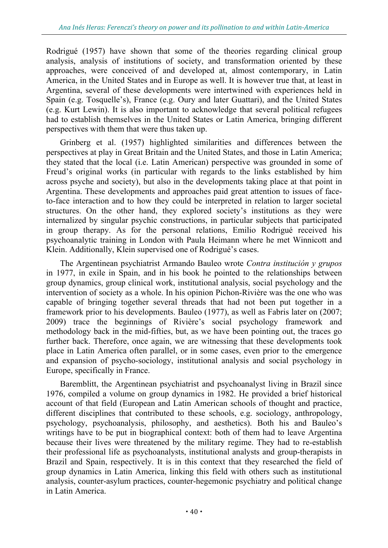Rodrigué (1957) have shown that some of the theories regarding clinical group analysis, analysis of institutions of society, and transformation oriented by these approaches, were conceived of and developed at, almost contemporary, in Latin America, in the United States and in Europe as well. It is however true that, at least in Argentina, several of these developments were intertwined with experiences held in Spain (e.g. Tosquelle's), France (e.g. Oury and later Guattari), and the United States (e.g. Kurt Lewin). It is also important to acknowledge that several political refugees had to establish themselves in the United States or Latin America, bringing different perspectives with them that were thus taken up.

Grinberg et al. (1957) highlighted similarities and differences between the perspectives at play in Great Britain and the United States, and those in Latin America; they stated that the local (i.e. Latin American) perspective was grounded in some of Freud's original works (in particular with regards to the links established by him across psyche and society), but also in the developments taking place at that point in Argentina. These developments and approaches paid great attention to issues of faceto-face interaction and to how they could be interpreted in relation to larger societal structures. On the other hand, they explored society's institutions as they were internalized by singular psychic constructions, in particular subjects that participated in group therapy. As for the personal relations, Emilio Rodrigué received his psychoanalytic training in London with Paula Heimann where he met Winnicott and Klein. Additionally, Klein supervised one of Rodrigué's cases.

The Argentinean psychiatrist Armando Bauleo wrote *Contra institución y grupos* in 1977, in exile in Spain, and in his book he pointed to the relationships between group dynamics, group clinical work, institutional analysis, social psychology and the intervention of society as a whole. In his opinion Pichon-Rivière was the one who was capable of bringing together several threads that had not been put together in a framework prior to his developments. Bauleo (1977), as well as Fabris later on (2007; 2009) trace the beginnings of Rivière's social psychology framework and methodology back in the mid-fifties, but, as we have been pointing out, the traces go further back. Therefore, once again, we are witnessing that these developments took place in Latin America often parallel, or in some cases, even prior to the emergence and expansion of psycho-sociology, institutional analysis and social psychology in Europe, specifically in France.

Baremblitt, the Argentinean psychiatrist and psychoanalyst living in Brazil since 1976, compiled a volume on group dynamics in 1982. He provided a brief historical account of that field (European and Latin American schools of thought and practice, different disciplines that contributed to these schools, e.g. sociology, anthropology, psychology, psychoanalysis, philosophy, and aesthetics). Both his and Bauleo's writings have to be put in biographical context: both of them had to leave Argentina because their lives were threatened by the military regime. They had to re-establish their professional life as psychoanalysts, institutional analysts and group-therapists in Brazil and Spain, respectively. It is in this context that they researched the field of group dynamics in Latin America, linking this field with others such as institutional analysis, counter-asylum practices, counter-hegemonic psychiatry and political change in Latin America.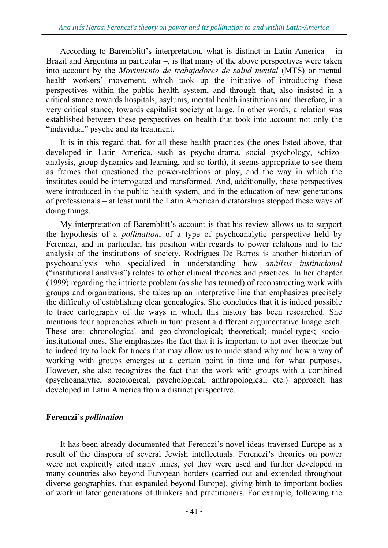According to Baremblitt's interpretation, what is distinct in Latin America – in Brazil and Argentina in particular  $-$ , is that many of the above perspectives were taken into account by the *Movimiento de trabajadores de salud mental* (MTS) or mental health workers' movement, which took up the initiative of introducing these perspectives within the public health system, and through that, also insisted in a critical stance towards hospitals, asylums, mental health institutions and therefore, in a very critical stance, towards capitalist society at large. In other words, a relation was established between these perspectives on health that took into account not only the "individual" psyche and its treatment.

It is in this regard that, for all these health practices (the ones listed above, that developed in Latin America, such as psycho-drama, social psychology, schizoanalysis, group dynamics and learning, and so forth), it seems appropriate to see them as frames that questioned the power-relations at play, and the way in which the institutes could be interrogated and transformed. And, additionally, these perspectives were introduced in the public health system, and in the education of new generations of professionals – at least until the Latin American dictatorships stopped these ways of doing things.

My interpretation of Baremblitt's account is that his review allows us to support the hypothesis of a *pollination*, of a type of psychoanalytic perspective held by Ferenczi, and in particular, his position with regards to power relations and to the analysis of the institutions of society. Rodrigues De Barros is another historian of psychoanalysis who specialized in understanding how *análisis institucional* ("institutional analysis") relates to other clinical theories and practices. In her chapter (1999) regarding the intricate problem (as she has termed) of reconstructing work with groups and organizations, she takes up an interpretive line that emphasizes precisely the difficulty of establishing clear genealogies. She concludes that it is indeed possible to trace cartography of the ways in which this history has been researched. She mentions four approaches which in turn present a different argumentative linage each. These are: chronological and geo-chronological; theoretical; model-types; socioinstitutional ones. She emphasizes the fact that it is important to not over-theorize but to indeed try to look for traces that may allow us to understand why and how a way of working with groups emerges at a certain point in time and for what purposes. However, she also recognizes the fact that the work with groups with a combined (psychoanalytic, sociological, psychological, anthropological, etc.) approach has developed in Latin America from a distinct perspective.

## **Ferenczi's** *pollination*

It has been already documented that Ferenczi's novel ideas traversed Europe as a result of the diaspora of several Jewish intellectuals. Ferenczi's theories on power were not explicitly cited many times, yet they were used and further developed in many countries also beyond European borders (carried out and extended throughout diverse geographies, that expanded beyond Europe), giving birth to important bodies of work in later generations of thinkers and practitioners. For example, following the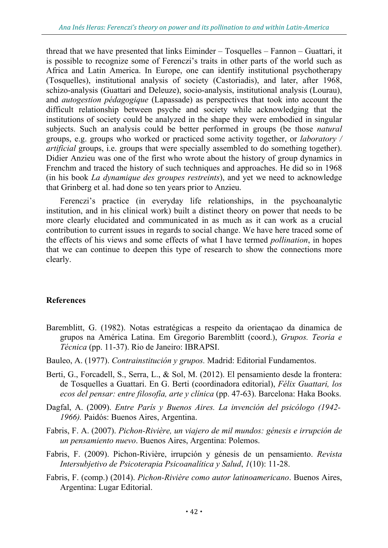thread that we have presented that links Eiminder – Tosquelles – Fannon – Guattari, it is possible to recognize some of Ferenczi's traits in other parts of the world such as Africa and Latin America. In Europe, one can identify institutional psychotherapy (Tosquelles), institutional analysis of society (Castoriadis), and later, after 1968, schizo-analysis (Guattari and Deleuze), socio-analysis, institutional analysis (Lourau), and *autogestion pédagogique* (Lapassade) as perspectives that took into account the difficult relationship between psyche and society while acknowledging that the institutions of society could be analyzed in the shape they were embodied in singular subjects. Such an analysis could be better performed in groups (be those *natural* groups, e.g. groups who worked or practiced some activity together, or *laboratory / artificial* groups, i.e. groups that were specially assembled to do something together). Didier Anzieu was one of the first who wrote about the history of group dynamics in Frenchm and traced the history of such techniques and approaches. He did so in 1968 (in his book *La dynamique des groupes restreints*), and yet we need to acknowledge that Grinberg et al. had done so ten years prior to Anzieu.

Ferenczi's practice (in everyday life relationships, in the psychoanalytic institution, and in his clinical work) built a distinct theory on power that needs to be more clearly elucidated and communicated in as much as it can work as a crucial contribution to current issues in regards to social change. We have here traced some of the effects of his views and some effects of what I have termed *pollination*, in hopes that we can continue to deepen this type of research to show the connections more clearly.

## **References**

- Baremblitt, G. (1982). Notas estratégicas a respeito da orientaçao da dinamica de grupos na América Latina. Em Gregorio Baremblitt (coord.), *Grupos. Teoria e Técnica* (pp. 11-37). Rio de Janeiro: IBRAPSI.
- Bauleo, A. (1977). *Contrainstitución y grupos.* Madrid: Editorial Fundamentos.
- Berti, G., Forcadell, S., Serra, L., & Sol, M. (2012). El pensamiento desde la frontera: de Tosquelles a Guattari. En G. Berti (coordinadora editorial), *Félix Guattari, los ecos del pensar: entre filosofía, arte y clínica* (pp. 47-63). Barcelona: Haka Books.
- Dagfal, A. (2009). *Entre París y Buenos Aires. La invención del psicólogo (1942- 1966).* Paidós: Buenos Aires, Argentina.
- Fabris, F. A. (2007). *Pichon-Rivière, un viajero de mil mundos: génesis e irrupción de un pensamiento nuevo*. Buenos Aires, Argentina: Polemos.
- Fabris, F. (2009). Pichon-Rivière, irrupción y génesis de un pensamiento. *Revista Intersubjetivo de Psicoterapia Psicoanalítica y Salud*, *1*(10): 11-28.
- Fabris, F. (comp.) (2014). *Pichon-Rivière como autor latinoamericano*. Buenos Aires, Argentina: Lugar Editorial.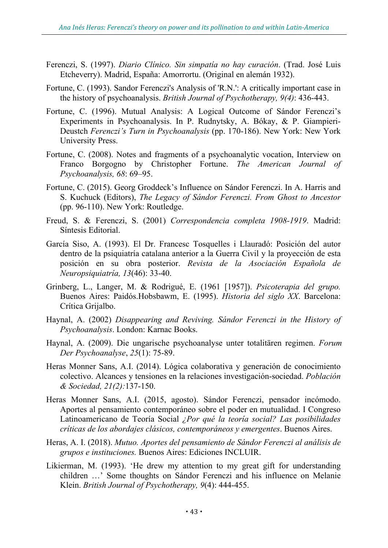- Ferenczi, S. (1997). *Diario Clínico. Sin simpatía no hay curación*. (Trad. José Luis Etcheverry). Madrid, España: Amorrortu. (Original en alemán 1932).
- Fortune, C. (1993). Sandor Ferenczi's Analysis of 'R.N.': A critically important case in the history of psychoanalysis. *British Journal of Psychotherapy, 9(4)*: 436-443.
- Fortune, C. (1996). Mutual Analysis: A Logical Outcome of Sándor Ferenczi's Experiments in Psychoanalysis. In P. Rudnytsky, A. Bókay, & P. Giampieri-Deustch *Ferenczi's Turn in Psychoanalysis* (pp. 170-186). New York: New York University Press.
- Fortune, C. (2008). Notes and fragments of a psychoanalytic vocation, Interview on Franco Borgogno by Christopher Fortune. *The American Journal of Psychoanalysis, 68*: 69–95.
- Fortune, C. (2015). Georg Groddeck's Influence on Sándor Ferenczi. In A. Harris and S. Kuchuck (Editors), *The Legacy of Sándor Ferenczi. From Ghost to Ancestor*  (pp. 96-110). New York: Routledge.
- Freud, S. & Ferenczi, S. (2001) *Correspondencia completa 1908-1919*. Madrid: Síntesis Editorial.
- García Siso, A. (1993). El Dr. Francesc Tosquelles i Llauradó: Posición del autor dentro de la psiquiatría catalana anterior a la Guerra Civil y la proyección de esta posición en su obra posterior. *Revista de la Asociación Española de Neuropsiquiatría, 13*(46): 33-40.
- Grinberg, L., Langer, M. & Rodrigué, E. (1961 [1957]). *Psicoterapia del grupo.* Buenos Aires: Paidós.Hobsbawm, E. (1995). *Historia del siglo XX*. Barcelona: Crítica Grijalbo.
- Haynal, A. (2002) *Disappearing and Reviving. Sándor Ferenczi in the History of Psychoanalysis*. London: Karnac Books.
- Haynal, A. (2009). Die ungarische psychoanalyse unter totalitären regimen. *Forum Der Psychoanalyse*, *25*(1): 75-89.
- Heras Monner Sans, A.I. (2014). Lógica colaborativa y generación de conocimiento colectivo. Alcances y tensiones en la relaciones investigación-sociedad. *Población & Sociedad, 21(2):*137-150.
- Heras Monner Sans, A.I. (2015, agosto). Sándor Ferenczi, pensador incómodo. Aportes al pensamiento contemporáneo sobre el poder en mutualidad. I Congreso Latinoamericano de Teoría Social *¿Por qué la teoría social? Las posibilidades críticas de los abordajes clásicos, contemporáneos y emergentes*. Buenos Aires.
- Heras, A. I. (2018). *Mutuo. Aportes del pensamiento de Sándor Ferenczi al análisis de grupos e instituciones.* Buenos Aires: Ediciones INCLUIR.
- Likierman, M. (1993). 'He drew my attention to my great gift for understanding children …' Some thoughts on Sándor Ferenczi and his influence on Melanie Klein. *British Journal of Psychotherapy, 9*(4): 444-455.